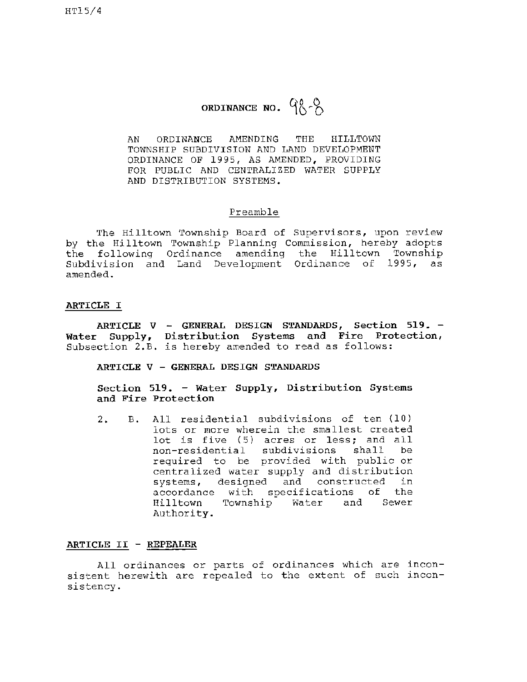# **ORDINANCE NO.**  $90.0$

AN ORDINANCE AMENDING THE HILLTOWN TOWNSHIP SUBDIVISION AND LAND DEVELOPMENT ORDINANCE OF 1995, AS AMENDED, PROVIDING FOR PUBLIC AND CENTRALIZED WATER SUPPLY AND DISTRIBUTION SYSTEMS.

#### Preamble

The Hilltown Township Board of Supervisors, upon review by the Hilltown Township Planning Commission, hereby adopts the following Ordinance amending the Hilltown Township Subdivision and Land Development Ordinance of 1995, as amended.

#### **ARTICLE** I

**ARTICLE V** - **GENERAL DESIGN STANDARDS, Section 519.** - **Water Supply, Distribution Systems and Fire Protection,**  Subsection 2.B. is hereby amended to read as follows:

#### **ARTICLE V** - **GENERAL DESIGN STANDARDS**

**Section 519.** - **Water Supply, Distribution Systems and Fire Protection** 

2. B. All residential subdivisions of ten (10) lots or more wherein the smallest created lot is five (5) acres or less; and all<br>non-residential subdivisions shall be non-residential subdivisions required to be provided with public or centralized water supply and distribution systems, designed and constructed in accordance with specifications of the Hilltown Township Water and Sewer Authority.

### **ARTICLE** II - **REPEALER**

All ordinances or parts of ordinances which are inconsistent herewith are repealed to the extent of such inconsistency.